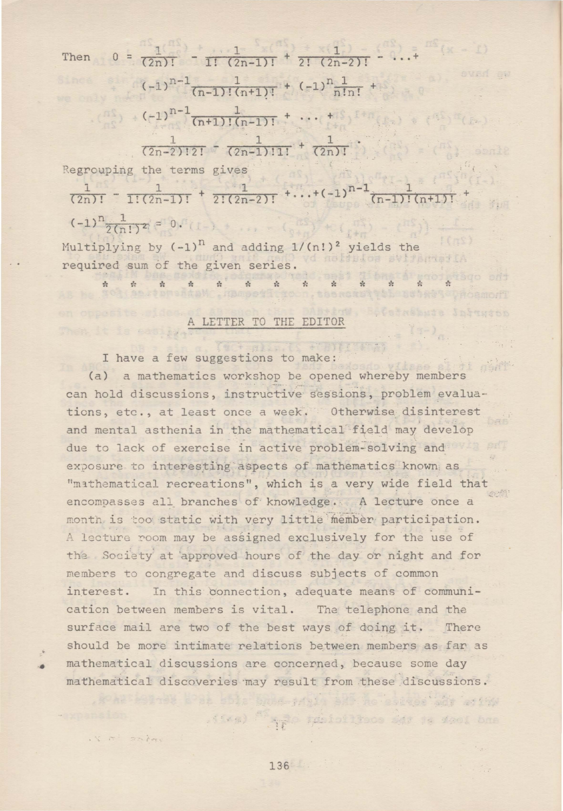Then  $0 = \frac{1}{(2n)!} - \frac{1}{1! (2n-1)!} + \frac{1}{2! (2n-2)!} - \ldots +$  $(-1)^{n-1}$   $\frac{1}{(n-1)!(n+1)!}$  +  $(-1)^n \frac{1}{n!n!}$  +  $(-1)^n$  $(-1)^{n-1}$   $\frac{1}{(n+1)!(n-1)!}$  + ... +  $\frac{1}{(2n-2)!2!}$   $\frac{1}{(2n-1)!1!}$  +  $\frac{1}{(2n)!}$ 

Regrouping the terms gives

Then it is pasily.

-·

i's a shirt

 $\frac{1}{(2n)!}$  -  $\frac{1}{1!(2n-1)!}$  +  $\frac{1}{2!(2n-2)!}$  +...+(-1)<sup>n-1</sup>(n-1)!(n+1)! +  $(-1)^n \frac{1}{2(n!)^2} = 0.$ 

Multiplying by  $(-1)^n$  and adding  $1/(n!)^2$  yields the required sum of the given series. Loop Bgo ons

\* \* \* \* \* \* \* \* \* \* \* \* \*

## A LETTER TO THE EDITOR

I have a few suggestions to make:

(a) a mathematics workshop be opened whereby members can hold discussions, instructive sessions, problem evaluations, etc., at least once a week. Otherwise disinterest and mental asthenia in the mathematical field may develop due to lack of exercise in active problem-solving and exposure to interesting aspects of mathematics known as "mathematical recreations", which is a very wide field that encompasses all branches of knowledge. A lecture once a month is too static with very little member participation. A lecture room may be assigned exclusively for the use of the Society at approved hours of the day or night and for members to congregate and discuss subjects of common interest. In this connection, adequate means of communication between members is vital. The telephone and the surface mail are two of the best ways of doing it. There should be more intimate relations between members as far as mathematical discussions are concerned, because some day mathematical discoveries may result from these discussions.

lest bliz hom nich bli ne earger adr antwe